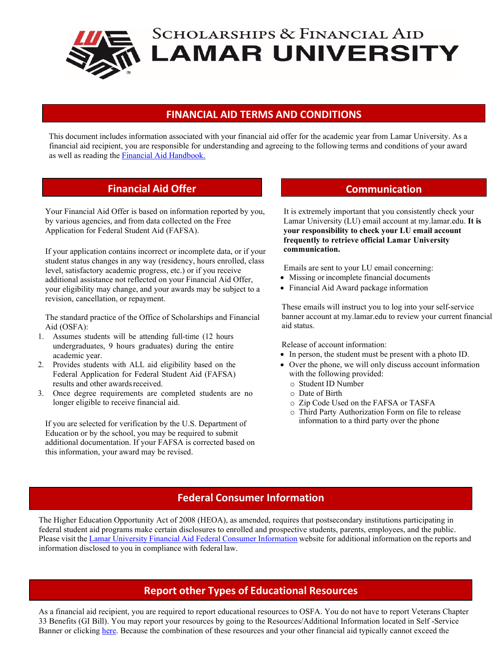

### **FINANCIAL AID TERMS AND CONDITIONS**

This document includes information associated with your financial aid offer for the academic year from Lamar University. As a financial aid recipient, you are responsible for understanding and agreeing to the following terms and conditions of your award as well as reading the [Financial Aid Handbook.](https://www.lamar.edu/financial-aid/financial-aid-handbooks/student-financial-aid-handbooks.html)

# **Financial Aid Offer Communication**

Your Financial Aid Offer is based on information reported by you, by various agencies, and from data collected on the Free Application for Federal Student Aid (FAFSA).

If your application contains incorrect or incomplete data, or if your student status changes in any way (residency, hours enrolled, class level, satisfactory academic progress, etc.) or if you receive additional assistance not reflected on your Financial Aid Offer, your eligibility may change, and your awards may be subject to a revision, cancellation, or repayment.

The standard practice of the Office of Scholarships and Financial Aid (OSFA):

- 1. Assumes students will be attending full-time (12 hours undergraduates, 9 hours graduates) during the entire academic year.
- 2. Provides students with ALL aid eligibility based on the Federal Application for Federal Student Aid (FAFSA) results and other awards received.
- 3. Once degree requirements are completed students are no longer eligible to receive financial aid.

If you are selected for verification by the U.S. Department of Education or by the school, you may be required to submit additional documentation. If your FAFSA is corrected based on this information, your award may be revised.

It is extremely important that you consistently check your Lamar University (LU) email account at my.lamar.edu. **It is your responsibility to check your LU email account frequently to retrieve official Lamar University communication.**

Emails are sent to your LU email concerning:

- Missing or incomplete financial documents
- Financial Aid Award package information

These emails will instruct you to log into your self-service banner account at my.lamar.edu to review your current financial aid status.

Release of account information:

- In person, the student must be present with a photo ID.
- Over the phone, we will only discuss account information with the following provided:
	- o Student ID Number
	- o Date of Birth
	- o Zip Code Used on the FAFSA or TASFA
	- o Third Party Authorization Form on file to release information to a third party over the phone

# **Federal Consumer Information**

The Higher Education Opportunity Act of 2008 (HEOA), as amended, requires that postsecondary institutions participating in federal student aid programs make certain disclosures to enrolled and prospective students, parents, employees, and the public. Please visit the Lamar University Financial Aid Federal Consumer [Information](http://financialaid.lamar.edu/consumer-info/index.html) website for additional information on the reports and information disclosed to you in compliance with federal law.

# **Report other Types of Educational Resources**

As a financial aid recipient, you are required to report educational resources to OSFA. You do not have to report Veterans Chapter 33 Benefits (GI Bill). You may report your resources by going to the Resources/Additional Information located in Self -Service Banner or clicking [here.](https://www.lamar.edu/forms/scholarships-and-financial-aid/additional-resource.html) Because the combination of these resources and your other financial aid typically cannot exceed the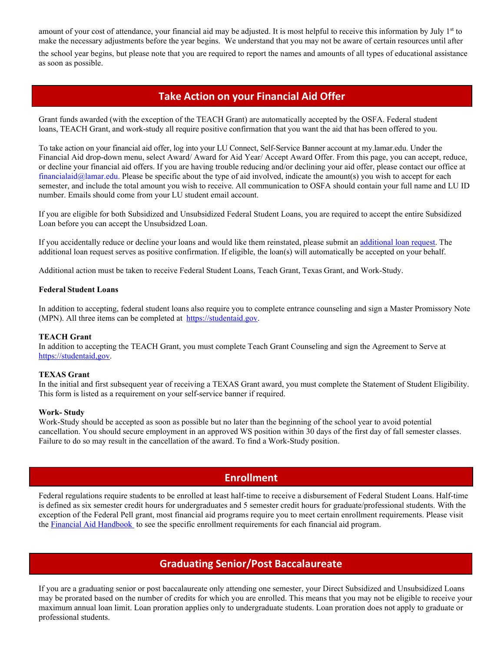amount of your cost of attendance, your financial aid may be adjusted. It is most helpful to receive this information by July 1st to make the necessary adjustments before the year begins. We understand that you may not be aware of certain resources until after

the school year begins, but please note that you are required to report the names and amounts of all types of educational assistance as soon as possible.

## **Take Action on your Financial Aid Offer**

Grant funds awarded (with the exception of the TEACH Grant) are automatically accepted by the OSFA. Federal student loans, TEACH Grant, and work-study all require positive confirmation that you want the aid that has been offered to you.

To take action on your financial aid offer, log into your LU Connect, Self-Service Banner account at my.lamar.edu. Under the Financial Aid drop-down menu, select Award/ Award for Aid Year/ Accept Award Offer. From this page, you can accept, reduce, or decline your financial aid offers. If you are having trouble reducing and/or declining your aid offer, please contact our office [at](mailto:%20financialaid@lamar.edu) [financialaid@lamar.edu. P](mailto:%20financialaid@lamar.edu)lease be specific about the type of aid involved, indicate the amount(s) you wish to accept for each semester, and include the total amount you wish to receive. All communication to OSFA should contain your full name and LU ID number. Emails should come from your LU student email account.

If you are eligible for both Subsidized and Unsubsidized Federal Student Loans, you are required to accept the entire Subsidized Loan before you can accept the Unsubsidzed Loan.

If you accidentally reduce or decline your loans and would like them reinstated, please submit a[n additional loan request.](https://www.lamar.edu/_files/documents/financial-aid/Additional%20Loan%20Request%20Form.pdf) The additional loan request serves as positive confirmation. If eligible, the loan(s) will automatically be accepted on your behalf.

Additional action must be taken to receive Federal Student Loans, Teach Grant, Texas Grant, and Work-Study.

### **Federal Student Loans**

In addition to accepting, federal student loans also require you to complete entrance counseling and sign a Master Promissory Note (MPN). All three items can be completed at [https://studentaid.gov.](https://studentaid.gov/)

### **TEACH Grant**

In addition to accepting the TEACH Grant, you must complete Teach Grant Counseling and sign the Agreement to Serve at https://studentaid,gov.

### **TEXAS Grant**

In the initial and first subsequent year of receiving a TEXAS Grant award, you must complete the Statement of Student Eligibility. This form is listed as a requirement on your self-service banner if required.

### **Work- Study**

Work-Study should be accepted as soon as possible but no later than the beginning of the school year to avoid potential cancellation. You should secure employment in an approved WS position within 30 days of the first day of fall semester classes. Failure to do so may result in the cancellation of the award. To find a Work-Study position.

### **Enrollment**

Federal regulations require students to be enrolled at least half-time to receive a disbursement of Federal Student Loans. Half-time is defined as six semester credit hours for undergraduates and 5 semester credit hours for graduate/professional students. With the exception of the Federal Pell grant, most financial aid programs require you to meet certain enrollment requirements. Please visit the [Financial Aid Handbook](https://www.lamar.edu/financial-aid/financial-aid-handbooks/student-financial-aid-handbooks.html) to see the specific enrollment requirements for each financial aid program.

# **Graduating Senior/Post Baccalaureate**

If you are a graduating senior or post baccalaureate only attending one semester, your Direct Subsidized and Unsubsidized Loans may be prorated based on the number of credits for which you are enrolled. This means that you may not be eligible to receive your maximum annual loan limit. Loan proration applies only to undergraduate students. Loan proration does not apply to graduate or professional students.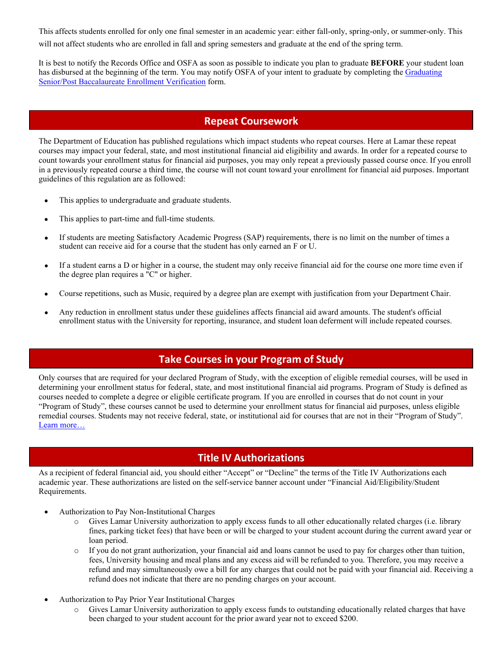This affects students enrolled for only one final semester in an academic year: either fall-only, spring-only, or summer-only. This will not affect students who are enrolled in fall and spring semesters and graduate at the end of the spring term.

It is best to notify the Records Office and OSFA as soon as possible to indicate you plan to graduate **BEFORE** your student loan has disbursed at the beginning of the term. You may notify OSFA of your intent to graduate by completing the [Graduating](https://www.lamar.edu/forms/scholarships-and-financial-aid/graduating-senior-post-baccalaureate-enrollment-verification.html) Senior/Post [Baccalaureate Enrollment Verification](https://www.lamar.edu/forms/scholarships-and-financial-aid/graduating-senior-post-baccalaureate-enrollment-verification.html) form.

# **Repeat Coursework**

The Department of Education has published regulations which impact students who repeat courses. Here at Lamar these repeat courses may impact your federal, state, and most institutional financial aid eligibility and awards. In order for a repeated course to count towards your enrollment status for financial aid purposes, you may only repeat a previously passed course once. If you enroll in a previously repeated course a third time, the course will not count toward your enrollment for financial aid purposes. Important guidelines of this regulation are as followed:

- This applies to undergraduate and graduate students.
- This applies to part-time and full-time students.
- If students are meeting Satisfactory Academic Progress (SAP) requirements, there is no limit on the number of times a student can receive aid for a course that the student has only earned an F or U.
- If a student earns a D or higher in a course, the student may only receive financial aid for the course one more time even if the degree plan requires a "C" or higher.
- Course repetitions, such as Music, required by a degree plan are exempt with justification from your Department Chair.
- Any reduction in enrollment status under these guidelines affects financial aid award amounts. The student's official enrollment status with the University for reporting, insurance, and student loan deferment will include repeated courses.

# **Take Courses in your Program of Study**

Only courses that are required for your declared Program of Study, with the exception of eligible remedial courses, will be used in determining your enrollment status for federal, state, and most institutional financial aid programs. Program of Study is defined as courses needed to complete a degree or eligible certificate program. If you are enrolled in courses that do not count in your "Program of Study", these courses cannot be used to determine your enrollment status for financial aid purposes, unless eligible remedial courses. Students may not receive federal, state, or institutional aid for courses that are not in their "Program of Study". [Learn more…](https://www.lamar.edu/financial-aid/take-courses-that-count-in-your-program-of-study.html)

# **Title IV Authorizations**

As a recipient of federal financial aid, you should either "Accept" or "Decline" the terms of the Title IV Authorizations each academic year. These authorizations are listed on the self-service banner account under "Financial Aid/Eligibility/Student Requirements.

- Authorization to Pay Non-Institutional Charges
	- o Gives Lamar University authorization to apply excess funds to all other educationally related charges (i.e. library fines, parking ticket fees) that have been or will be charged to your student account during the current award year or loan period.
	- o If you do not grant authorization, your financial aid and loans cannot be used to pay for charges other than tuition, fees, University housing and meal plans and any excess aid will be refunded to you. Therefore, you may receive a refund and may simultaneously owe a bill for any charges that could not be paid with your financial aid. Receiving a refund does not indicate that there are no pending charges on your account.
- Authorization to Pay Prior Year Institutional Charges
	- o Gives Lamar University authorization to apply excess funds to outstanding educationally related charges that have been charged to your student account for the prior award year not to exceed \$200.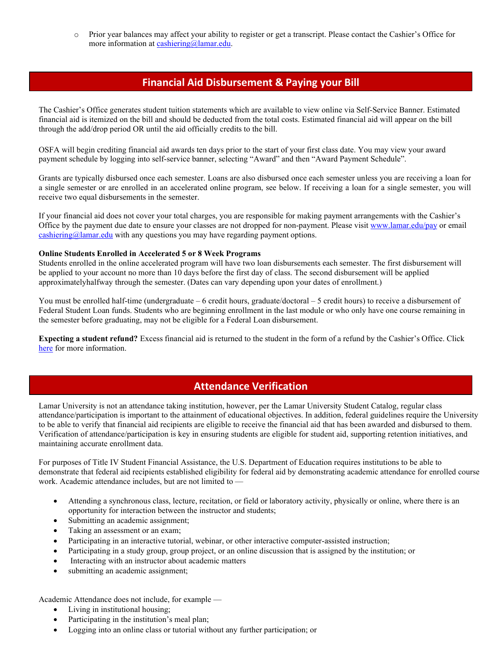o Prior year balances may affect your ability to register or get a transcript. Please contact the Cashier's Office for more information at [cashiering@lamar.edu.](mailto:cashiering@lamar.edu)

# **Financial Aid Disbursement & Paying your Bill**

The [Cashier's Office g](http://treasurer.cofc.edu/index.php)enerates student tuition statements which are available to view online via Self-Service Banner. Estimated financial aid is itemized on the bill and should be deducted from the total costs. Estimated financial aid will appear on the bill through the add/drop period OR until the aid officially credits to the bill.

OSFA will begin crediting financial aid awards ten days prior to the start of your first class date. You may view your award payment schedule by logging into self-service banner, selecting "Award" and then "Award Payment Schedule".

Grants are typically disbursed once each semester. Loans are also disbursed once each semester unless you are receiving a loan for a single semester or are enrolled in an accelerated online program, see below. If receiving a loan for a single semester, you will receive two equal disbursements in the semester.

If your financial aid does not cover your total charges, you are responsible for making payment arrangements with the Cashier's Office by the payment due date to ensure your classes are not dropped for non-payment. Please visit [www.lamar.edu/pay](http://www.lamar.edu/pay) or email  $\frac{\text{cashiering@lamar.edu}}{\text{chaining@lamar.edu}}$  $\frac{\text{cashiering@lamar.edu}}{\text{chaining@lamar.edu}}$  $\frac{\text{cashiering@lamar.edu}}{\text{chaining@lamar.edu}}$  with any questions you may have regarding payment options.

### **Online Students Enrolled in Accelerated 5 or 8 Week Programs**

Students enrolled in the online accelerated program will have two loan disbursements each semester. The first disbursement will be applied to your account no more than 10 days before the first day of class. The second disbursement will be applied approximatelyhalfway through the semester. (Dates can vary depending upon your dates of enrollment.)

You must be enrolled half-time (undergraduate – 6 credit hours, graduate/doctoral – 5 credit hours) to receive a disbursement of Federal Student Loan funds. Students who are beginning enrollment in the last module or who only have one course remaining in the semester before graduating, may not be eligible for a Federal Loan disbursement.

**Expecting a student refund?** Excess financial aid is returned to the student in the form of a refund by the Cashier's Office. Click [here](https://www.lamar.edu/students/paying-for-school/account-credit-balances-and-refunds.html) for more information.

# **Attendance Verification**

Lamar University is not an attendance taking institution, however, per the Lamar University Student Catalog, regular class attendance/participation is important to the attainment of educational objectives. In addition, federal guidelines require the University to be able to verify that financial aid recipients are eligible to receive the financial aid that has been awarded and disbursed to them. Verification of attendance/participation is key in ensuring students are eligible for student aid, supporting retention initiatives, and maintaining accurate enrollment data.

For purposes of Title IV Student Financial Assistance, the U.S. Department of Education requires institutions to be able to demonstrate that federal aid recipients established eligibility for federal aid by demonstrating academic attendance for enrolled course work. Academic attendance includes, but are not limited to —

- Attending a synchronous class, lecture, recitation, or field or laboratory activity, physically or online, where there is an opportunity for interaction between the instructor and students;
- Submitting an academic assignment;
- Taking an assessment or an exam;
- Participating in an interactive tutorial, webinar, or other interactive computer-assisted instruction;
- Participating in a study group, group project, or an online discussion that is assigned by the institution; or
- Interacting with an instructor about academic matters
- submitting an academic assignment;

Academic Attendance does not include, for example —

- Living in institutional housing;
- Participating in the institution's meal plan;
- Logging into an online class or tutorial without any further participation; or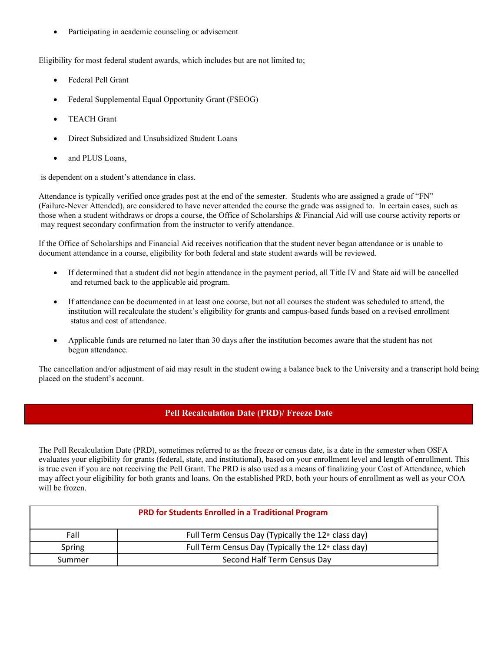Participating in academic counseling or advisement

Eligibility for most federal student awards, which includes but are not limited to;

- Federal Pell Grant
- Federal Supplemental Equal Opportunity Grant (FSEOG)
- TEACH Grant
- Direct Subsidized and Unsubsidized Student Loans
- and PLUS Loans,

is dependent on a student's attendance in class.

Attendance is typically verified once grades post at the end of the semester. Students who are assigned a grade of "FN" (Failure-Never Attended), are considered to have never attended the course the grade was assigned to. In certain cases, such as those when a student withdraws or drops a course, the Office of Scholarships & Financial Aid will use course activity reports or may request secondary confirmation from the instructor to verify attendance.

If the Office of Scholarships and Financial Aid receives notification that the student never began attendance or is unable to document attendance in a course, eligibility for both federal and state student awards will be reviewed.

- If determined that a student did not begin attendance in the payment period, all Title IV and State aid will be cancelled and returned back to the applicable aid program.
- If attendance can be documented in at least one course, but not all courses the student was scheduled to attend, the institution will recalculate the student's eligibility for grants and campus-based funds based on a revised enrollment status and cost of attendance.
- Applicable funds are returned no later than 30 days after the institution becomes aware that the student has not begun attendance.

The cancellation and/or adjustment of aid may result in the student owing a balance back to the University and a transcript hold being placed on the student's account.

### **Pell Recalculation Date (PRD)/ Freeze Date**

The Pell Recalculation Date (PRD), sometimes referred to as the freeze or census date, is a date in the semester when OSFA evaluates your eligibility for grants (federal, state, and institutional), based on your enrollment level and length of enrollment. This is true even if you are not receiving the Pell Grant. The PRD is also used as a means of finalizing your Cost of Attendance, which may affect your eligibility for both grants and loans. On the established PRD, both your hours of enrollment as well as your COA will be frozen.

| <b>PRD for Students Enrolled in a Traditional Program</b> |                                                                 |
|-----------------------------------------------------------|-----------------------------------------------------------------|
| Fall                                                      | Full Term Census Day (Typically the 12 <sup>th</sup> class day) |
| Spring                                                    | Full Term Census Day (Typically the 12 <sup>th</sup> class day) |
| Summer                                                    | Second Half Term Census Day                                     |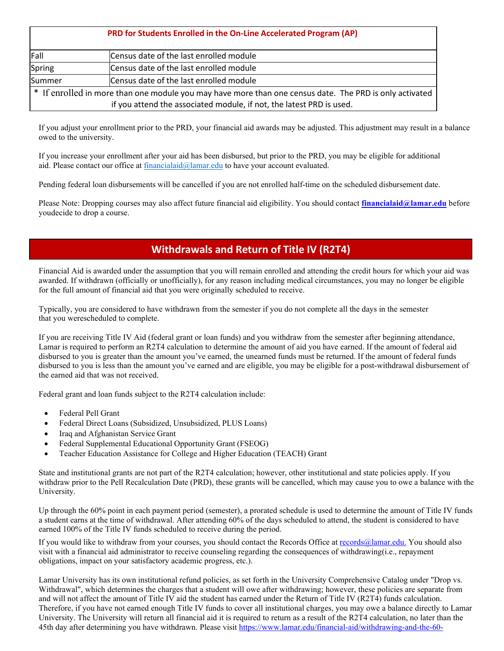| PRD for Students Enrolled in the On-Line Accelerated Program (AP) |                                                                                                         |
|-------------------------------------------------------------------|---------------------------------------------------------------------------------------------------------|
| Fall                                                              | Census date of the last enrolled module                                                                 |
| Spring                                                            | Census date of the last enrolled module                                                                 |
| Summer                                                            | Census date of the last enrolled module                                                                 |
|                                                                   | * If enrolled in more than one module you may have more than one census date. The PRD is only activated |
|                                                                   | if you attend the associated module, if not, the latest PRD is used.                                    |

If you adjust your enrollment prior to the PRD, your financial aid awards may be adjusted. This adjustment may result in a balance owed to the university.

If you increase your enrollment after your aid has been disbursed, but prior to the PRD, you may be eligible for additional aid. Please contact our office at [financialaid@lamar.edu](mailto:financialaid@lamar.edu) to have your account evaluated.

Pending federal loan disbursements will be cancelled if you are not enrolled half-time on the scheduled disbursement date.

Please Note: Dropping courses may also affect future financial aid eligibility. You should contact **[financialaid@lamar.edu](mailto:financialaid@lamar.edu)** before youdecide to drop a course.

# **Withdrawals and Return of Title IV (R2T4)**

Financial Aid is awarded under the assumption that you will remain enrolled and attending the credit hours for which your aid was awarded. If withdrawn (officially or unofficially), for any reason including medical circumstances, you may no longer be eligible for the full amount of financial aid that you were originally scheduled to receive.

Typically, you are considered to have withdrawn from the semester if you do not complete all the days in the semester that you werescheduled to complete.

If you are receiving Title IV Aid (federal grant or loan funds) and you withdraw from the semester after beginning attendance, Lamar is required to perform an R2T4 calculation to determine the amount of aid you have earned. If the amount of federal aid disbursed to you is greater than the amount you've earned, the unearned funds must be returned. If the amount of federal funds disbursed to you is less than the amount you've earned and are eligible, you may be eligible for a post-withdrawal disbursement of the earned aid that was not received.

Federal grant and loan funds subject to the R2T4 calculation include:

- Federal Pell Grant
- Federal Direct Loans (Subsidized, Unsubsidized, PLUS Loans)
- Iraq and Afghanistan Service Grant
- Federal Supplemental Educational Opportunity Grant (FSEOG)
- Teacher Education Assistance for College and Higher Education (TEACH) Grant

State and institutional grants are not part of the R2T4 calculation; however, other institutional and state policies apply. If you withdraw prior to the Pell Recalculation Date (PRD), these grants will be cancelled, which may cause you to owe a balance with the University.

Up through the 60% point in each payment period (semester), a prorated schedule is used to determine the amount of Title IV funds a student earns at the time of withdrawal. After attending 60% of the days scheduled to attend, the student is considered to have earned 100% of the Title IV funds scheduled to receive during the period.

If you would like to withdraw from your courses, you should contact the Records Office a[t records@lamar.edu.](mailto:records@lamar.edu.) You should also visit with a financial aid administrator to receive counseling regarding the consequences of withdrawing(i.e., repayment obligations, impact on your satisfactory academic progress, etc.).

Lamar University has its own institutional refund policies, as set forth in the University Comprehensive Catalog under "Drop vs. Withdrawal", which determines the charges that a student will owe after withdrawing; however, these policies are separate from and will not affect the amount of Title IV aid the student has earned under the Return of Title IV (R2T4) funds calculation. Therefore, if you have not earned enough Title IV funds to cover all institutional charges, you may owe a balance directly to Lamar University. The University will return all financial aid it is required to return as a result of the R2T4 calculation, no later than the 45th day after determining you have withdrawn. Please visit [https://www.lamar.edu/financial-aid/withdrawing-and-the-60-](https://www.lamar.edu/financial-aid/withdrawing-and-the-60-dates.htm)